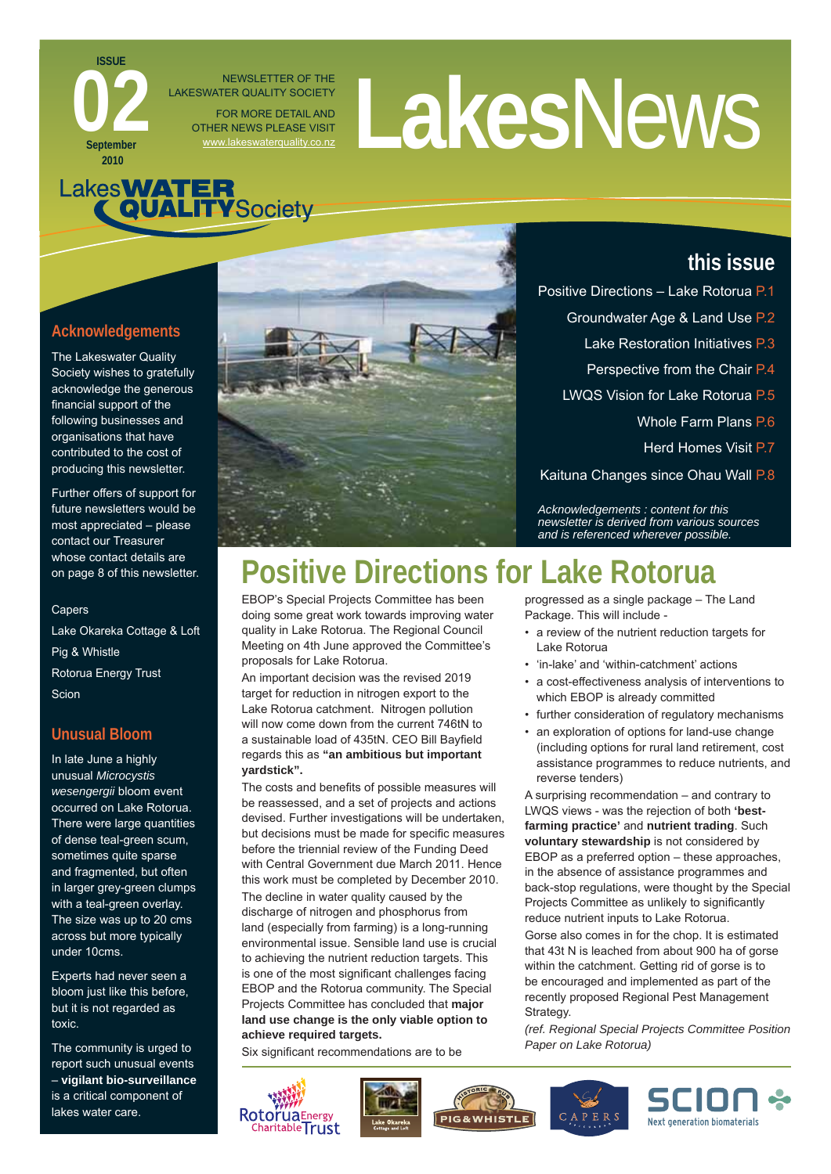# NEWSLETTER OF THE<br>FOR MORE DETAILAND<br>THER NEWS PLEASE VISIT

# Lakes**WATER**<br>QUALITYSociety

NEWSLETTER OF THE

FOR MORE DETAIL AND OTHER NEWS PLEASE VISIT

LAKESWATER QUALITY SOCIETY

### **Acknowledgements**

**ISSUE**

**September 2010**

**022** 

The Lakeswater Quality Society wishes to gratefully acknowledge the generous financial support of the following businesses and organisations that have contributed to the cost of producing this newsletter.

Further offers of support for future newsletters would be most appreciated – please contact our Treasurer whose contact details are on page 8 of this newsletter.

#### Capers

Lake Okareka Cottage & Loft Pig & Whistle Rotorua Energy Trust **Scion** 

#### **Unusual Bloom**

In late June a highly unusual *Microcystis wesengergii* bloom event occurred on Lake Rotorua. There were large quantities of dense teal-green scum, sometimes quite sparse and fragmented, but often in larger grey-green clumps with a teal-green overlay. The size was up to 20 cms across but more typically under 10cms.

Experts had never seen a bloom just like this before, but it is not regarded as toxic.

The community is urged to report such unusual events – **vigilant bio-surveillance** is a critical component of lakes water care.



# **Positive Directions for Lake Rotorua**

EBOP's Special Projects Committee has been doing some great work towards improving water quality in Lake Rotorua. The Regional Council Meeting on 4th June approved the Committee's proposals for Lake Rotorua.

An important decision was the revised 2019 target for reduction in nitrogen export to the Lake Rotorua catchment. Nitrogen pollution will now come down from the current 746tN to a sustainable load of 435tN. CEO Bill Bayfield regards this as **"an ambitious but important yardstick".** 

The costs and benefits of possible measures will be reassessed, and a set of projects and actions devised. Further investigations will be undertaken, but decisions must be made for specific measures before the triennial review of the Funding Deed with Central Government due March 2011. Hence this work must be completed by December 2010.

The decline in water quality caused by the discharge of nitrogen and phosphorus from land (especially from farming) is a long-running environmental issue. Sensible land use is crucial to achieving the nutrient reduction targets. This is one of the most significant challenges facing EBOP and the Rotorua community. The Special Projects Committee has concluded that **major land use change is the only viable option to achieve required targets.**

Six significant recommendations are to be











**this issue**

- Perspective from the Chair P.4
- LWQS Vision for Lake Rotorua P.5

Positive Directions – Lake Rotorua P.1

- Whole Farm Plans P.6
- Herd Homes Visit P.7

Kaituna Changes since Ohau Wall P.8

*Acknowledgements : content for this newsletter is derived from various sources and is referenced wherever possible.*

progressed as a single package – The Land Package. This will include -

- a review of the nutrient reduction targets for Lake Rotorua
- 'in-lake' and 'within-catchment' actions
- a cost-effectiveness analysis of interventions to which EBOP is already committed
- further consideration of regulatory mechanisms
- an exploration of options for land-use change (including options for rural land retirement, cost assistance programmes to reduce nutrients, and reverse tenders)

A surprising recommendation – and contrary to LWQS views - was the rejection of both **'bestfarming practice'** and **nutrient trading**. Such **voluntary stewardship** is not considered by EBOP as a preferred option – these approaches, in the absence of assistance programmes and back-stop regulations, were thought by the Special Projects Committee as unlikely to significantly reduce nutrient inputs to Lake Rotorua.

Gorse also comes in for the chop. It is estimated that 43t N is leached from about 900 ha of gorse within the catchment. Getting rid of gorse is to be encouraged and implemented as part of the recently proposed Regional Pest Management Strategy.

*(ref. Regional Special Projects Committee Position Paper on Lake Rotorua)*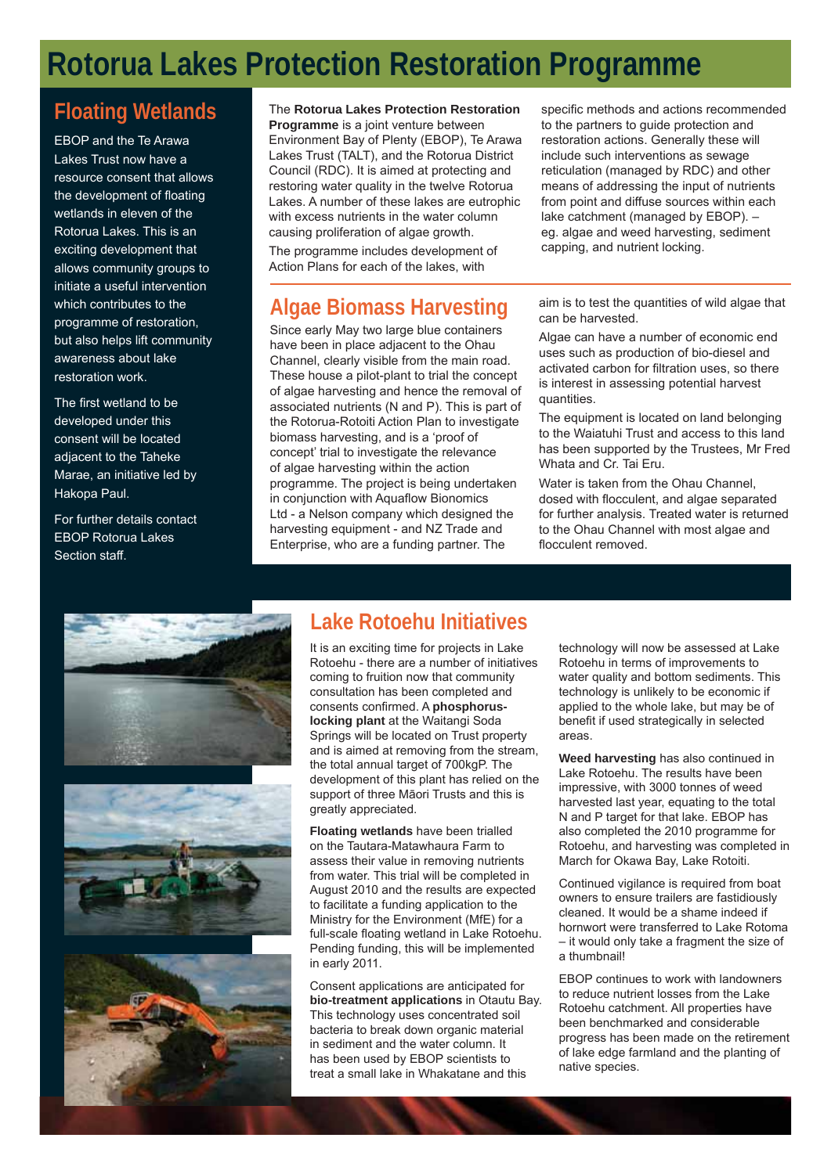# **Rotorua Lakes Protection Restoration Programme**

### **Floating Wetlands**

EBOP and the Te Arawa Lakes Trust now have a resource consent that allows the development of floating wetlands in eleven of the Rotorua Lakes. This is an exciting development that allows community groups to initiate a useful intervention which contributes to the programme of restoration, but also helps lift community awareness about lake restoration work.

The first wetland to be developed under this consent will be located adjacent to the Taheke Marae, an initiative led by Hakopa Paul.

For further details contact EBOP Rotorua Lakes Section staff.

The **Rotorua Lakes Protection Restoration** 

**Programme** is a joint venture between Environment Bay of Plenty (EBOP), Te Arawa Lakes Trust (TALT), and the Rotorua District Council (RDC). It is aimed at protecting and restoring water quality in the twelve Rotorua Lakes. A number of these lakes are eutrophic with excess nutrients in the water column causing proliferation of algae growth.

The programme includes development of Action Plans for each of the lakes, with

### **Algae Biomass Harvesting**

Since early May two large blue containers have been in place adjacent to the Ohau Channel, clearly visible from the main road. These house a pilot-plant to trial the concept of algae harvesting and hence the removal of associated nutrients (N and P). This is part of the Rotorua-Rotoiti Action Plan to investigate biomass harvesting, and is a 'proof of concept' trial to investigate the relevance of algae harvesting within the action programme. The project is being undertaken in conjunction with Aquaflow Bionomics Ltd - a Nelson company which designed the harvesting equipment - and NZ Trade and Enterprise, who are a funding partner. The

specific methods and actions recommended to the partners to guide protection and restoration actions. Generally these will include such interventions as sewage reticulation (managed by RDC) and other means of addressing the input of nutrients from point and diffuse sources within each lake catchment (managed by EBOP). – eg. algae and weed harvesting, sediment capping, and nutrient locking.

aim is to test the quantities of wild algae that can be harvested.

Algae can have a number of economic end uses such as production of bio-diesel and activated carbon for filtration uses, so there is interest in assessing potential harvest quantities.

The equipment is located on land belonging to the Waiatuhi Trust and access to this land has been supported by the Trustees, Mr Fred Whata and Cr. Tai Eru.

Water is taken from the Ohau Channel, dosed with flocculent, and algae separated for further analysis. Treated water is returned to the Ohau Channel with most algae and flocculent removed.



### **Lake Rotoehu Initiatives**

It is an exciting time for projects in Lake Rotoehu - there are a number of initiatives coming to fruition now that community consultation has been completed and consents confirmed. A **phosphoruslocking plant** at the Waitangi Soda Springs will be located on Trust property and is aimed at removing from the stream, the total annual target of 700kgP. The development of this plant has relied on the support of three Māori Trusts and this is greatly appreciated.

**Floating wetlands** have been trialled on the Tautara-Matawhaura Farm to assess their value in removing nutrients from water. This trial will be completed in August 2010 and the results are expected to facilitate a funding application to the Ministry for the Environment (MfE) for a full-scale floating wetland in Lake Rotoehu. Pending funding, this will be implemented in early 2011.

Consent applications are anticipated for **bio-treatment applications** in Otautu Bay. This technology uses concentrated soil bacteria to break down organic material in sediment and the water column. It has been used by EBOP scientists to treat a small lake in Whakatane and this

technology will now be assessed at Lake Rotoehu in terms of improvements to water quality and bottom sediments. This technology is unlikely to be economic if applied to the whole lake, but may be of benefit if used strategically in selected areas.

**Weed harvesting** has also continued in Lake Rotoehu. The results have been impressive, with 3000 tonnes of weed harvested last year, equating to the total N and P target for that lake. EBOP has also completed the 2010 programme for Rotoehu, and harvesting was completed in March for Okawa Bay, Lake Rotoiti.

Continued vigilance is required from boat owners to ensure trailers are fastidiously cleaned. It would be a shame indeed if hornwort were transferred to Lake Rotoma – it would only take a fragment the size of a thumbnail!

EBOP continues to work with landowners to reduce nutrient losses from the Lake Rotoehu catchment. All properties have been benchmarked and considerable progress has been made on the retirement of lake edge farmland and the planting of native species.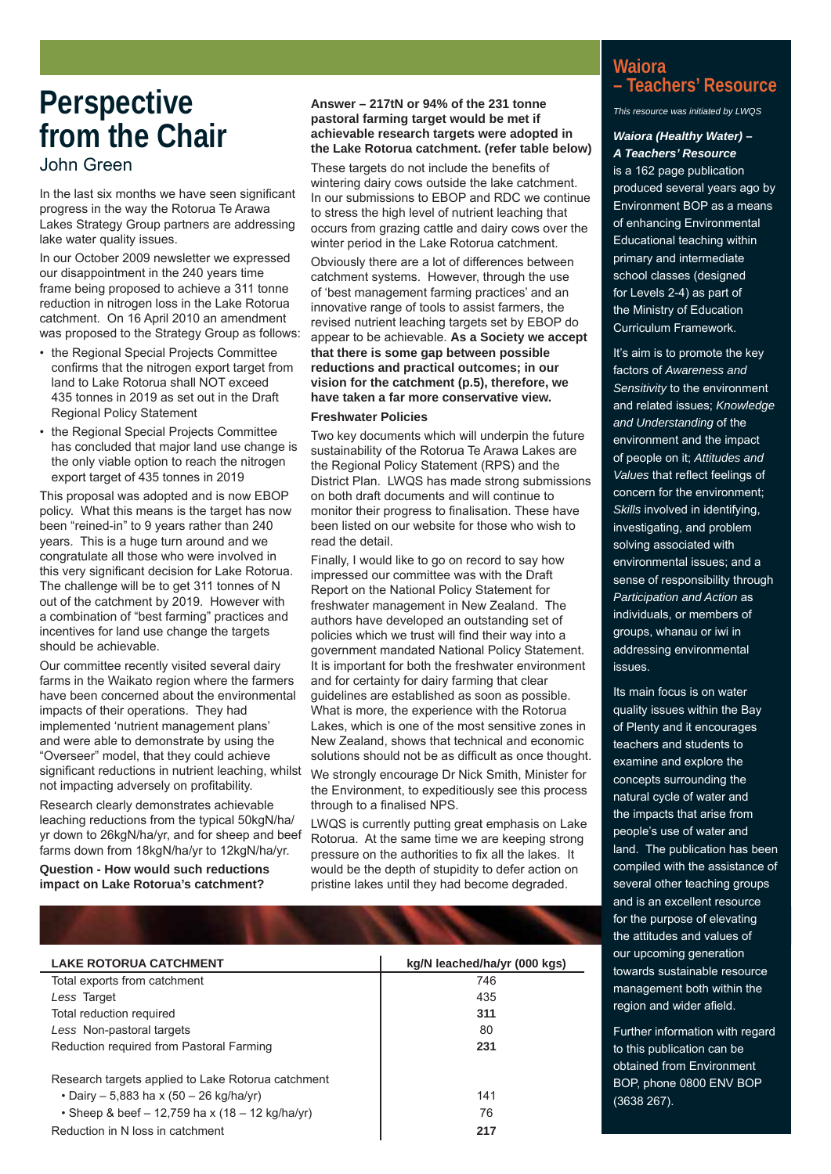## **Perspective from the Chair** John Green

In the last six months we have seen significant progress in the way the Rotorua Te Arawa Lakes Strategy Group partners are addressing lake water quality issues.

In our October 2009 newsletter we expressed our disappointment in the 240 years time frame being proposed to achieve a 311 tonne reduction in nitrogen loss in the Lake Rotorua catchment. On 16 April 2010 an amendment was proposed to the Strategy Group as follows:

- the Regional Special Projects Committee confirms that the nitrogen export target from land to Lake Rotorua shall NOT exceed 435 tonnes in 2019 as set out in the Draft Regional Policy Statement
- the Regional Special Projects Committee has concluded that major land use change is the only viable option to reach the nitrogen export target of 435 tonnes in 2019

This proposal was adopted and is now EBOP policy. What this means is the target has now been "reined-in" to 9 years rather than 240 years. This is a huge turn around and we congratulate all those who were involved in this very significant decision for Lake Rotorua. The challenge will be to get 311 tonnes of N out of the catchment by 2019. However with a combination of "best farming" practices and incentives for land use change the targets should be achievable.

Our committee recently visited several dairy farms in the Waikato region where the farmers have been concerned about the environmental impacts of their operations. They had implemented 'nutrient management plans' and were able to demonstrate by using the "Overseer" model, that they could achieve significant reductions in nutrient leaching, whilst not impacting adversely on profitability.

Research clearly demonstrates achievable leaching reductions from the typical 50kgN/ha/ yr down to 26kgN/ha/yr, and for sheep and beef farms down from 18kgN/ha/yr to 12kgN/ha/yr.

**Question - How would such reductions impact on Lake Rotorua's catchment?** 

#### **Answer – 217tN or 94% of the 231 tonne pastoral farming target would be met if achievable research targets were adopted in the Lake Rotorua catchment. (refer table below)**

These targets do not include the benefits of wintering dairy cows outside the lake catchment. In our submissions to EBOP and RDC we continue to stress the high level of nutrient leaching that occurs from grazing cattle and dairy cows over the winter period in the Lake Rotorua catchment.

Obviously there are a lot of differences between catchment systems. However, through the use of 'best management farming practices' and an innovative range of tools to assist farmers, the revised nutrient leaching targets set by EBOP do appear to be achievable. **As a Society we accept that there is some gap between possible reductions and practical outcomes; in our vision for the catchment (p.5), therefore, we have taken a far more conservative view.**

#### **Freshwater Policies**

Two key documents which will underpin the future sustainability of the Rotorua Te Arawa Lakes are the Regional Policy Statement (RPS) and the District Plan. LWQS has made strong submissions on both draft documents and will continue to monitor their progress to finalisation. These have been listed on our website for those who wish to read the detail.

Finally, I would like to go on record to say how impressed our committee was with the Draft Report on the National Policy Statement for freshwater management in New Zealand. The authors have developed an outstanding set of policies which we trust will find their way into a government mandated National Policy Statement. It is important for both the freshwater environment and for certainty for dairy farming that clear guidelines are established as soon as possible. What is more, the experience with the Rotorua Lakes, which is one of the most sensitive zones in New Zealand, shows that technical and economic solutions should not be as difficult as once thought.

We strongly encourage Dr Nick Smith, Minister for the Environment, to expeditiously see this process through to a finalised NPS.

LWQS is currently putting great emphasis on Lake Rotorua. At the same time we are keeping strong pressure on the authorities to fix all the lakes. It would be the depth of stupidity to defer action on pristine lakes until they had become degraded.

| <b>Waiora</b>        |  |
|----------------------|--|
| - Teachers' Resource |  |

*This resource was initiated by LWQS*

#### *Waiora (Healthy Water) – A Teachers' Resource*

is a 162 page publication produced several years ago by Environment BOP as a means of enhancing Environmental Educational teaching within primary and intermediate school classes (designed for Levels 2-4) as part of the Ministry of Education Curriculum Framework.

It's aim is to promote the key factors of *Awareness and Sensitivity* to the environment and related issues; *Knowledge and Understanding* of the environment and the impact of people on it; *Attitudes and Values* that reflect feelings of concern for the environment; *Skills* involved in identifying, investigating, and problem solving associated with environmental issues; and a sense of responsibility through *Participation and Action* as individuals, or members of groups, whanau or iwi in addressing environmental issues.

Its main focus is on water quality issues within the Bay of Plenty and it encourages teachers and students to examine and explore the concepts surrounding the natural cycle of water and the impacts that arise from people's use of water and land. The publication has been compiled with the assistance of several other teaching groups and is an excellent resource for the purpose of elevating the attitudes and values of our upcoming generation towards sustainable resource management both within the region and wider afield.

Further information with regard to this publication can be obtained from Environment BOP, phone 0800 ENV BOP (3638 267).

| <b>LAKE ROTORUA CATCHMENT</b>                      | kg/N leached/ha/yr (000 kgs) |
|----------------------------------------------------|------------------------------|
| Total exports from catchment                       | 746                          |
| Less Target                                        | 435                          |
| Total reduction required                           | 311                          |
| Less Non-pastoral targets                          | 80                           |
| Reduction required from Pastoral Farming           | 231                          |
| Research targets applied to Lake Rotorua catchment |                              |
| • Dairy – 5,883 ha x (50 – 26 kg/ha/yr)            | 141                          |
| • Sheep & beef $-12,759$ ha x (18 $-12$ kg/ha/yr)  | 76                           |
| Reduction in N loss in catchment                   | 217                          |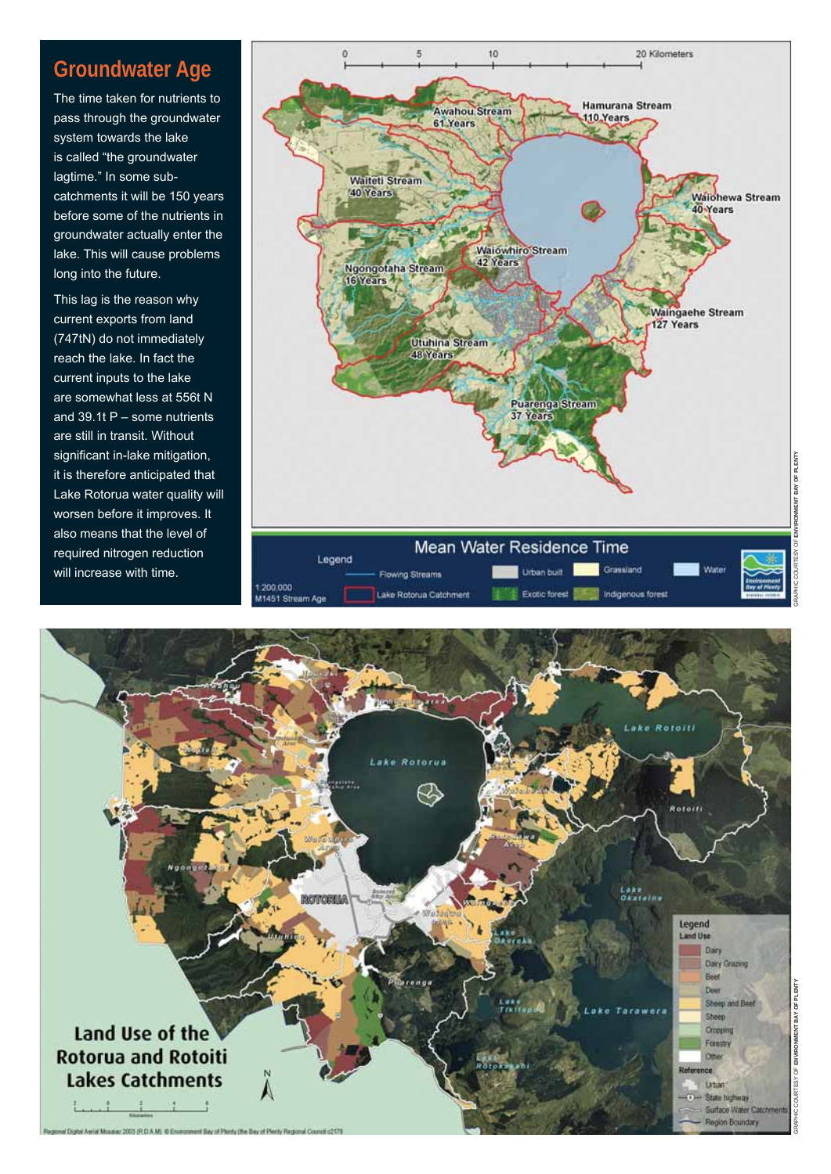### **Groundwater Age**

The time taken for nutrients to pass through the groundwater system towards the lake is called "the groundwater lagtime." In some subcatchments it will be 150 years before some of the nutrients in groundwater actually enter the lake. This will cause problems long into the future.

This lag is the reason why current exports from land (747tN) do not immediately reach the lake. In fact the current inputs to the lake are somewhat less at 556t N and 39.1t P – some nutrients are still in transit. Without significant in-lake mitigation, it is therefore anticipated that Lake Rotorua water quality will worsen before it improves. It also means that the level of required nitrogen reduction will increase with time.



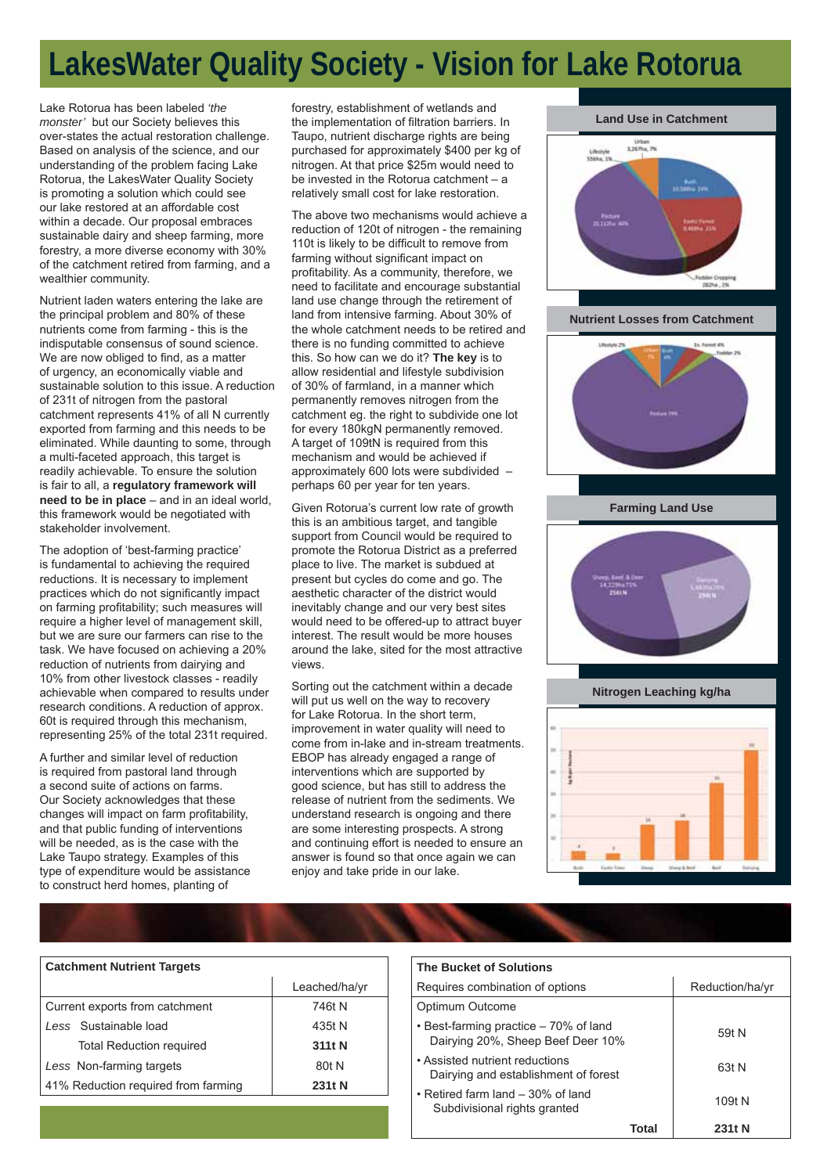# **LakesWater Quality Society - Vision for Lake Rotorua**

Lake Rotorua has been labeled *'the monster'* but our Society believes this over-states the actual restoration challenge. Based on analysis of the science, and our understanding of the problem facing Lake Rotorua, the LakesWater Quality Society is promoting a solution which could see our lake restored at an affordable cost within a decade. Our proposal embraces sustainable dairy and sheep farming, more forestry, a more diverse economy with 30% of the catchment retired from farming, and a wealthier community.

Nutrient laden waters entering the lake are the principal problem and 80% of these nutrients come from farming - this is the indisputable consensus of sound science. We are now obliged to find, as a matter of urgency, an economically viable and sustainable solution to this issue. A reduction of 231t of nitrogen from the pastoral catchment represents 41% of all N currently exported from farming and this needs to be eliminated. While daunting to some, through a multi-faceted approach, this target is readily achievable. To ensure the solution is fair to all, a **regulatory framework will need to be in place** – and in an ideal world, this framework would be negotiated with stakeholder involvement.

The adoption of 'best-farming practice' is fundamental to achieving the required reductions. It is necessary to implement practices which do not significantly impact on farming profitability; such measures will require a higher level of management skill, but we are sure our farmers can rise to the task. We have focused on achieving a 20% reduction of nutrients from dairying and 10% from other livestock classes - readily achievable when compared to results under research conditions. A reduction of approx. 60t is required through this mechanism, representing 25% of the total 231t required.

A further and similar level of reduction is required from pastoral land through a second suite of actions on farms. Our Society acknowledges that these changes will impact on farm profitability, and that public funding of interventions will be needed, as is the case with the Lake Taupo strategy. Examples of this type of expenditure would be assistance to construct herd homes, planting of

forestry, establishment of wetlands and the implementation of filtration barriers. In Taupo, nutrient discharge rights are being purchased for approximately \$400 per kg of nitrogen. At that price \$25m would need to be invested in the Rotorua catchment – a relatively small cost for lake restoration.

The above two mechanisms would achieve a reduction of 120t of nitrogen - the remaining 110t is likely to be difficult to remove from farming without significant impact on profitability. As a community, therefore, we need to facilitate and encourage substantial land use change through the retirement of land from intensive farming. About 30% of the whole catchment needs to be retired and there is no funding committed to achieve this. So how can we do it? **The key** is to allow residential and lifestyle subdivision of 30% of farmland, in a manner which permanently removes nitrogen from the catchment eg. the right to subdivide one lot for every 180kgN permanently removed. A target of 109tN is required from this mechanism and would be achieved if approximately 600 lots were subdivided – perhaps 60 per year for ten years.

Given Rotorua's current low rate of growth this is an ambitious target, and tangible support from Council would be required to promote the Rotorua District as a preferred place to live. The market is subdued at present but cycles do come and go. The aesthetic character of the district would inevitably change and our very best sites would need to be offered-up to attract buyer interest. The result would be more houses around the lake, sited for the most attractive views.

Sorting out the catchment within a decade will put us well on the way to recovery for Lake Rotorua. In the short term, improvement in water quality will need to come from in-lake and in-stream treatments. EBOP has already engaged a range of interventions which are supported by good science, but has still to address the release of nutrient from the sediments. We understand research is ongoing and there are some interesting prospects. A strong and continuing effort is needed to ensure an answer is found so that once again we can enjoy and take pride in our lake.



| <b>Catchment Nutrient Targets</b>   |               |  |  |  |
|-------------------------------------|---------------|--|--|--|
|                                     | Leached/ha/yr |  |  |  |
| Current exports from catchment      | 746t N        |  |  |  |
| Less Sustainable load               | 435t N        |  |  |  |
| <b>Total Reduction required</b>     | 311t N        |  |  |  |
| Less Non-farming targets            | 80t N         |  |  |  |
| 41% Reduction required from farming | 231t N        |  |  |  |

#### **The Bucket of Solutions**

| Requires combination of options                                            | Reduction/ha/yr |
|----------------------------------------------------------------------------|-----------------|
| Optimum Outcome                                                            |                 |
| • Best-farming practice – 70% of land<br>Dairying 20%, Sheep Beef Deer 10% | 59t N           |
| • Assisted nutrient reductions<br>Dairying and establishment of forest     | 63t N           |
| • Retired farm land – 30% of land<br>Subdivisional rights granted          | 109t N          |
| Total                                                                      | 231t N          |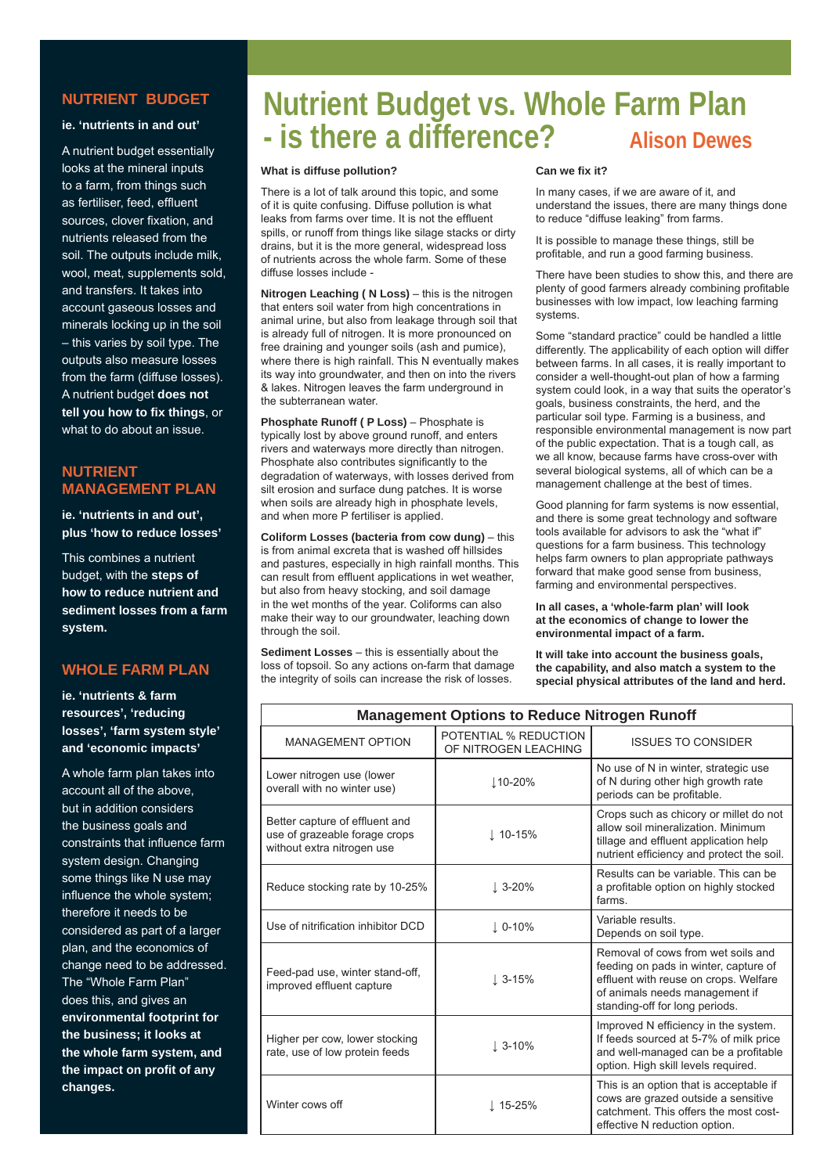#### **NUTRIENT BUDGET**

#### **ie. 'nutrients in and out'**

A nutrient budget essentially looks at the mineral inputs to a farm, from things such as fertiliser, feed, effluent sources, clover fixation, and nutrients released from the soil. The outputs include milk. wool, meat, supplements sold, and transfers. It takes into account gaseous losses and minerals locking up in the soil – this varies by soil type. The outputs also measure losses from the farm (diffuse losses). A nutrient budget **does not tell you how to fi x things**, or what to do about an issue.

#### **NUTRIENT MANAGEMENT PLAN**

**ie. 'nutrients in and out', plus 'how to reduce losses'**

This combines a nutrient budget, with the **steps of how to reduce nutrient and sediment losses from a farm system.**

#### **WHOLE FARM PLAN**

**ie. 'nutrients & farm resources', 'reducing losses', 'farm system style' and 'economic impacts'**

A whole farm plan takes into account all of the above, but in addition considers the business goals and constraints that influence farm system design. Changing some things like N use may influence the whole system; therefore it needs to be considered as part of a larger plan, and the economics of change need to be addressed. The "Whole Farm Plan" does this, and gives an **environmental footprint for the business; it looks at the whole farm system, and the impact on profit of any changes.** 

# **Nutrient Budget vs. Whole Farm Plan - is there a difference? Alison Dewes**

#### **What is diffuse pollution?**

There is a lot of talk around this topic, and some of it is quite confusing. Diffuse pollution is what leaks from farms over time. It is not the effluent spills, or runoff from things like silage stacks or dirty drains, but it is the more general, widespread loss of nutrients across the whole farm. Some of these diffuse losses include -

**Nitrogen Leaching ( N Loss)** – this is the nitrogen that enters soil water from high concentrations in animal urine, but also from leakage through soil that is already full of nitrogen. It is more pronounced on free draining and younger soils (ash and pumice), where there is high rainfall. This N eventually makes its way into groundwater, and then on into the rivers & lakes. Nitrogen leaves the farm underground in the subterranean water.

**Phosphate Runoff ( P Loss)** – Phosphate is typically lost by above ground runoff, and enters rivers and waterways more directly than nitrogen. Phosphate also contributes significantly to the degradation of waterways, with losses derived from silt erosion and surface dung patches. It is worse when soils are already high in phosphate levels, and when more P fertiliser is applied.

**Coliform Losses (bacteria from cow dung)** – this is from animal excreta that is washed off hillsides and pastures, especially in high rainfall months. This can result from effluent applications in wet weather, but also from heavy stocking, and soil damage in the wet months of the year. Coliforms can also make their way to our groundwater, leaching down through the soil.

**Sediment Losses** – this is essentially about the loss of topsoil. So any actions on-farm that damage the integrity of soils can increase the risk of losses.

#### **Can we fi x it?**

In many cases, if we are aware of it, and understand the issues, there are many things done to reduce "diffuse leaking" from farms.

It is possible to manage these things, still be profitable, and run a good farming business.

There have been studies to show this, and there are plenty of good farmers already combining profitable businesses with low impact, low leaching farming systems.

Some "standard practice" could be handled a little differently. The applicability of each option will differ between farms. In all cases, it is really important to consider a well-thought-out plan of how a farming system could look, in a way that suits the operator's goals, business constraints, the herd, and the particular soil type. Farming is a business, and responsible environmental management is now part of the public expectation. That is a tough call, as we all know, because farms have cross-over with several biological systems, all of which can be a management challenge at the best of times.

Good planning for farm systems is now essential, and there is some great technology and software tools available for advisors to ask the "what if" questions for a farm business. This technology helps farm owners to plan appropriate pathways forward that make good sense from business, farming and environmental perspectives.

**In all cases, a 'whole-farm plan' will look at the economics of change to lower the environmental impact of a farm.**

**It will take into account the business goals, the capability, and also match a system to the special physical attributes of the land and herd.**

| <b>Management Options to Reduce Nitrogen Runoff</b>                                           |                                               |                                                                                                                                                                                          |  |  |
|-----------------------------------------------------------------------------------------------|-----------------------------------------------|------------------------------------------------------------------------------------------------------------------------------------------------------------------------------------------|--|--|
| <b>MANAGEMENT OPTION</b>                                                                      | POTENTIAL % REDUCTION<br>OF NITROGEN LEACHING | <b>ISSUES TO CONSIDER</b>                                                                                                                                                                |  |  |
| Lower nitrogen use (lower<br>overall with no winter use)                                      | $10 - 20%$                                    | No use of N in winter, strategic use<br>of N during other high growth rate<br>periods can be profitable.                                                                                 |  |  |
| Better capture of effluent and<br>use of grazeable forage crops<br>without extra nitrogen use | $\perp$ 10-15%                                | Crops such as chicory or millet do not<br>allow soil mineralization. Minimum<br>tillage and effluent application help<br>nutrient efficiency and protect the soil.                       |  |  |
| Reduce stocking rate by 10-25%                                                                | $\downarrow$ 3-20%                            | Results can be variable. This can be<br>a profitable option on highly stocked<br>farms.                                                                                                  |  |  |
| Use of nitrification inhibitor DCD                                                            | $\downarrow$ 0-10%                            | Variable results.<br>Depends on soil type.                                                                                                                                               |  |  |
| Feed-pad use, winter stand-off,<br>improved effluent capture                                  | $\perp$ 3-15%                                 | Removal of cows from wet soils and<br>feeding on pads in winter, capture of<br>effluent with reuse on crops. Welfare<br>of animals needs management if<br>standing-off for long periods. |  |  |
| Higher per cow, lower stocking<br>rate, use of low protein feeds                              | $\downarrow$ 3-10%                            | Improved N efficiency in the system.<br>If feeds sourced at 5-7% of milk price<br>and well-managed can be a profitable<br>option. High skill levels required.                            |  |  |
| Winter cows off                                                                               | $\perp$ 15-25%                                | This is an option that is acceptable if<br>cows are grazed outside a sensitive<br>catchment. This offers the most cost-<br>effective N reduction option.                                 |  |  |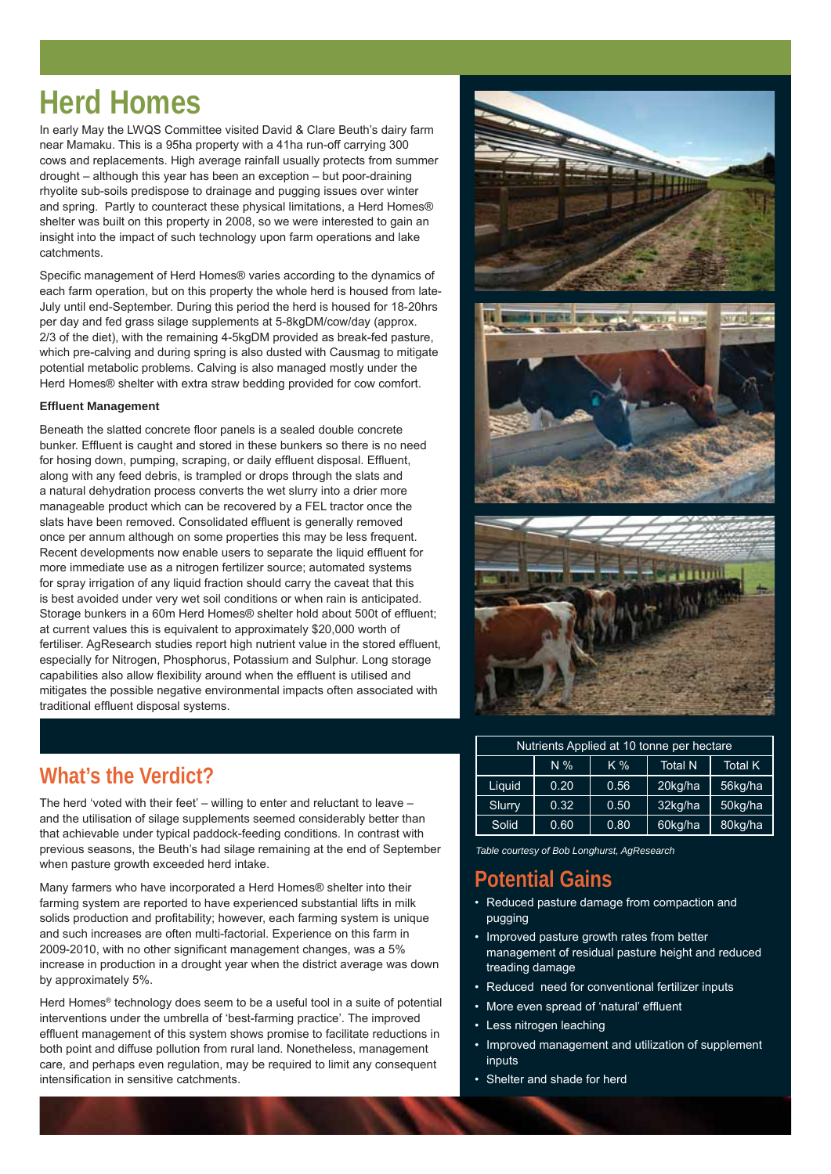# **Herd Homes**

In early May the LWQS Committee visited David & Clare Beuth's dairy farm near Mamaku. This is a 95ha property with a 41ha run-off carrying 300 cows and replacements. High average rainfall usually protects from summer drought – although this year has been an exception – but poor-draining rhyolite sub-soils predispose to drainage and pugging issues over winter and spring. Partly to counteract these physical limitations, a Herd Homes® shelter was built on this property in 2008, so we were interested to gain an insight into the impact of such technology upon farm operations and lake catchments.

Specific management of Herd Homes® varies according to the dynamics of each farm operation, but on this property the whole herd is housed from late-July until end-September. During this period the herd is housed for 18-20hrs per day and fed grass silage supplements at 5-8kgDM/cow/day (approx. 2/3 of the diet), with the remaining 4-5kgDM provided as break-fed pasture, which pre-calving and during spring is also dusted with Causmag to mitigate potential metabolic problems. Calving is also managed mostly under the Herd Homes® shelter with extra straw bedding provided for cow comfort.

#### **Effl uent Management**

Beneath the slatted concrete floor panels is a sealed double concrete bunker. Effluent is caught and stored in these bunkers so there is no need for hosing down, pumping, scraping, or daily effluent disposal. Effluent, along with any feed debris, is trampled or drops through the slats and a natural dehydration process converts the wet slurry into a drier more manageable product which can be recovered by a FEL tractor once the slats have been removed. Consolidated effluent is generally removed once per annum although on some properties this may be less frequent. Recent developments now enable users to separate the liquid effluent for more immediate use as a nitrogen fertilizer source; automated systems for spray irrigation of any liquid fraction should carry the caveat that this is best avoided under very wet soil conditions or when rain is anticipated. Storage bunkers in a 60m Herd Homes® shelter hold about 500t of effluent; at current values this is equivalent to approximately \$20,000 worth of fertiliser. AgResearch studies report high nutrient value in the stored effluent, especially for Nitrogen, Phosphorus, Potassium and Sulphur. Long storage capabilities also allow flexibility around when the effluent is utilised and mitigates the possible negative environmental impacts often associated with traditional effluent disposal systems.



The herd 'voted with their feet' – willing to enter and reluctant to leave – and the utilisation of silage supplements seemed considerably better than that achievable under typical paddock-feeding conditions. In contrast with previous seasons, the Beuth's had silage remaining at the end of September when pasture growth exceeded herd intake.

Many farmers who have incorporated a Herd Homes® shelter into their farming system are reported to have experienced substantial lifts in milk solids production and profitability; however, each farming system is unique and such increases are often multi-factorial. Experience on this farm in 2009-2010, with no other significant management changes, was a 5% increase in production in a drought year when the district average was down by approximately 5%.

Herd Homes® technology does seem to be a useful tool in a suite of potential interventions under the umbrella of 'best-farming practice'. The improved effluent management of this system shows promise to facilitate reductions in both point and diffuse pollution from rural land. Nonetheless, management care, and perhaps even regulation, may be required to limit any consequent intensification in sensitive catchments.



| Nutrients Applied at 10 tonne per hectare |       |      |                |                |  |
|-------------------------------------------|-------|------|----------------|----------------|--|
|                                           | $N\%$ | K %  | <b>Total N</b> | <b>Total K</b> |  |
| Liquid                                    | 0.20  | 0.56 | 20kg/ha        | 56kg/ha        |  |
| Slurry                                    | 0.32  | 0.50 | 32kg/ha        | 50kg/ha        |  |
| Solid                                     | 0.60  | 0.80 | 60kg/ha        | 80kg/ha        |  |

*Table courtesy of Bob Longhurst, AgResearch*

### **Potential Gains**

- Reduced pasture damage from compaction and pugging
- Improved pasture growth rates from better management of residual pasture height and reduced treading damage
- Reduced need for conventional fertilizer inputs
- More even spread of 'natural' effluent
- Less nitrogen leaching
- Improved management and utilization of supplement inputs
- Shelter and shade for herd